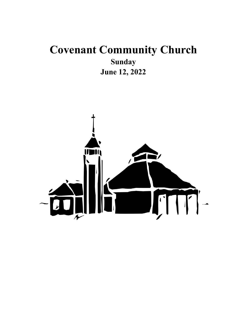# **Covenant Community Church Sunday**

**June 12, 2022**

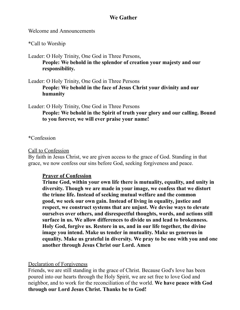## **We Gather**

Welcome and Announcements

\*Call to Worship

Leader: O Holy Trinity, One God in Three Persons, **People: We behold in the splendor of creation your majesty and our responsibility.**

Leader: O Holy Trinity, One God in Three Persons **People: We behold in the face of Jesus Christ your divinity and our humanity**

Leader: O Holy Trinity, One God in Three Persons **People: We behold in the Spirit of truth your glory and our calling. Bound to you forever, we will ever praise your name!**

\*Confession

#### Call to Confession

By faith in Jesus Christ, we are given access to the grace of God. Standing in that grace, we now confess our sins before God, seeking forgiveness and peace.

#### **Prayer of Confession**

**Triune God, within your own life there is mutuality, equality, and unity in diversity. Though we are made in your image, we confess that we distort the triune life. Instead of seeking mutual welfare and the common good, we seek our own gain. Instead of living in equality, justice and respect, we construct systems that are unjust. We devise ways to elevate ourselves over others, and disrespectful thoughts, words, and actions still surface in us. We allow differences to divide us and lead to brokenness. Holy God, forgive us. Restore in us, and in our life together, the divine image you intend. Make us tender in mutuality. Make us generous in equality. Make us grateful in diversity. We pray to be one with you and one another through Jesus Christ our Lord. Amen**

#### Declaration of Forgiveness

Friends, we are still standing in the grace of Christ. Because God's love has been poured into our hearts through the Holy Spirit, we are set free to love God and neighbor, and to work for the reconciliation of the world. **We have peace with God through our Lord Jesus Christ. Thanks be to God!**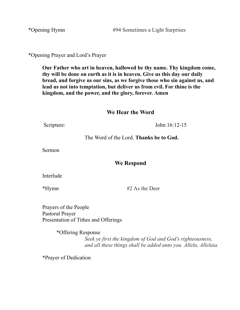\*Opening Hymn #94 Sometimes a Light Surprises

\*Opening Prayer and Lord's Prayer

**Our Father who art in heaven, hallowed be thy name. Thy kingdom come, thy will be done on earth as it is in heaven. Give us this day our daily bread, and forgive us our sins, as we forgive those who sin against us, and lead us not into temptation, but deliver us from evil. For thine is the kingdom, and the power, and the glory, forever. Amen**

### **We Hear the Word**

Scripture: John 16:12-15

The Word of the Lord. **Thanks be to God.**

Sermon

## **We Respond**

Interlude

\*Hymn #2 As the Deer

Prayers of the People Pastoral Prayer Presentation of Tithes and Offerings

> \*Offering Response *Seek ye first the kingdom of God and God's righteousness, and all these things shall be added unto you. Allelu, Alleluia.*

\*Prayer of Dedication